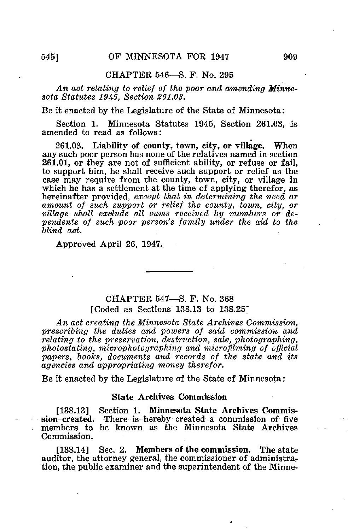## CHAPTER 546—S. F. No. 295

An act relating to relief of the poor and amending Minnesota Statutes 1945, Section 261.03.

Be it enacted by the Legislature of the State of Minnesota:

Section 1. Minnesota Statutes 1945, Section 261.03, is amended to read as follows:

261.03. Liability of county, town, city, or village. When any such poor person has none of the relatives named in section 261.01, or they are not of sufficient ability, or refuse or fail, to support him, he shall receive such support or relief as the case may require from the county, town, city, or village in which he has a settlement at the time of applying therefor, as hereinafter provided, except that in determining the need or amount of such support or relief the county, town, city, or village shall exclude all sums received by members or dependents of such poor person's family under the aid to the blind act.

Approved April 26, 1947.

## CHAPTER 547—S. F. No. 368 [Coded as Sections 138.13 to 138.25]

An act creating the Minnesota State Archives Commission, prescribing the duties and powers of said commission and relating to the preservation, destruction, sale, photographing, photostating, microphotographing and microfilming of official papers, books, documents and records of the state and its agencies and appropriating money therefor.

Be it enacted by the Legislature of the State of Minnesota:

## State Archives Commission

[138.13] Section 1. Minnesota State Archives Commission-created. There is-hereby-created-a commission of five members to be known as the Minnesota State Archives Commission.

[138.14] Sec. 2. Members of the commission. The state auditor, the attorney general, the commissioner of administration, the public examiner and the superintendent of the Minne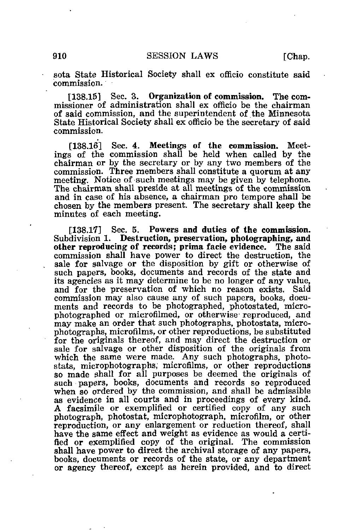sota State Historical Society shall ex officio constitute said commission.

[138.15] Sec. 3. Organization of commission. The commissioner of administration shall ex officio be the chairman of said commission, and the superintendent of the Minnesota State Historical Society shall ex officio be the secretary of said commission.

[138.16] Sec. 4. Meetings of the commission. Meetings of the commission shall be held when called by the chairman or by the secretary or by any two members of the commission. Three members shall constitute a quorum at any meeting. Notice of such meetings may be given by telephone. The chairman shall preside at all meetings of the commission and in case of his absence, a chairman pro tempore shall be chosen by the members present. The secretary shall keep the minutes of each meeting.

[138.17] Sec. 5. Powers and duties of the commission. Subdivision 1. Destruction, preservation, photographing, and other reproducing of records; prima facie evidence. The said commission shall have power to direct the destruction, the sale for salvage or the disposition by gift or otherwise of such papers, books, documents and records of the state and its agencies as it may determine to be no longer of any value, and for the preservation of which no reason exists. Said commission may also cause any of such papers, books, documents and records to be photographed, photostated, microphotographed or microfilmed, or otherwise reproduced, and may make an order that such photographs, photostats, microphotographs, microfilms, or other reproductions, be substituted for the originals thereof, and may direct the destruction or sale for salvage or other disposition of the originals from which the same were made. Any such photographs, photostats, microphotographs, microfilms, or other reproductions so made shall for all purposes be deemed the originals of such papers, books, documents and records so reproduced when so ordered by the commission, and shall be admissible as evidence in all courts and in proceedings of every kind. A facsimile or exemplified or certified copy of any such photograph, photostat, microphotograph, microfilm, or other reproduction, or any enlargement or reduction thereof, shall have the same effect and weight as evidence as would a certified or exemplified copy of the original. The commission shall have power to direct the archival storage of any papers, books, documents or records of the state, or any department or agency thereof, except as herein provided, and to direct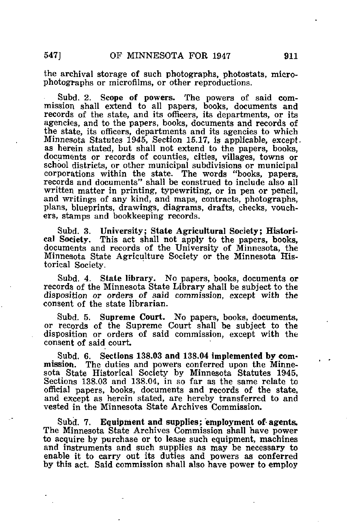the archival storage of such photographs, photostats, microphotographs or microfilms, or other reproductions,

Subd. 2. Scope of powers. The powers of said commission shall extend to all papers, books, documents and records of the state, and its officers, its departments, or its agencies, and to the papers, books, documents and records of the state, its officers, departments and its agencies to which Minnesota Statutes 1945, Section 15.17, is applicable, except. as herein stated, but shall not extend to the papers, books, documents or records of counties, cities, villages, towns or school districts, or other municipal subdivisions or municipal corporations within the state. The words "books, papers, records and documents" shall be construed to include also all written matter in printing, typewriting, or in pen or pencil, and writings of any kind, and maps, contracts, photographs, plans, blueprints, drawings, diagrams, drafts, checks, vouchers, stamps and bookkeeping records.

Subd. 3. University; State Agricultural Society; Historical Society. This act shall not apply to the papers, books, documents and records of the University of Minnesota, the Minnesota State Agriculture Society or the Minnesota Historical Society.

Subd. 4. State library. No papers, books, documents or records of the Minnesota State Library shall be subject to the disposition or orders of said commission, except with the consent of the state librarian.

Subd. 5. Supreme Court. No papers, books, documents, or records of the Supreme Court shall be subject to the disposition or orders of said commission, except with the consent of said court.

Subd. 6. Sections 138.03 and 138.04 implemented by commission. The duties and powers conferred upon the Minnesota State Historical Society by Minnesota Statutes 1945, Sections 138.03 and 138.04, in so far as the same relate to official papers, books, documents and records of the state, and except as herein stated, are hereby transferred to and vested in the Minnesota State Archives Commission.

Subd. 7. Equipment and supplies; employment of agents. The Minnesota State Archives Commission shall have power to acquire by purchase or to lease such equipment, machines and instruments and such supplies as may be necessary to enable it to carry out its duties and powers as conferred by this act. Said commission shall also have power to employ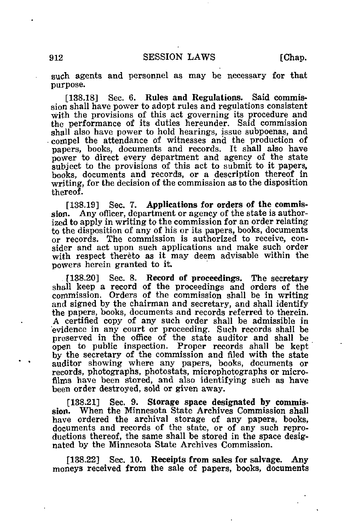such agents and personnel as may be necessary for that purpose.

[138.18] Sec. 6. Rules and Regulations. Said commission shall have power to adopt rules and regulations consistent with the provisions of this act governing its procedure and the performance of its duties hereunder. Said commission shall also have power to hold hearings, issue subpoenas, and compel the attendance of witnesses and the production of papers, books, documents and records. It shall also have power to direct every department and agency of the state subject to the provisions of this act to submit to it papers, books, documents and records, or a description thereof in writing, for the decision of the commission as to the disposition thereof.

[138.19] Sec. 7. Applications for orders of the commission. Any officer, department or agency of the state is authorized to apply in writing to the commission for an order relating to the disposition of any of his or its papers, books, documents or records. The commission is authorized to receive, consider and act upon such applications and make such order with respect thereto as it may deem advisable within the powers herein granted to it.

[138.20] Sec. 8. Record of proceedings. The secretary shall keep a record of the proceedings and orders of the commission. Orders of the commission shall be in writing and signed by the chairman and secretary, and shall identify the papers, books, documents and records referred to therein. A certified copy of any such order shall be admissible in evidence in any court or proceeding. Such records shall be preserved in the office of the state auditor and shall be open to public inspection. Proper records shall be kept by the secretary of the commission and filed with the state auditor showing where any papers, books, documents or records, photographs, photostats, microphotographs or microfilms have been stored, and also identifying such as have been order destroyed, sold or given away.

[138.21] Sec. 9. Storage space designated by commis-When the Minnesota State Archives Commission shall have ordered the archival storage of any papers, books, documents and records of the state, or of any such reproductions thereof, the same shall be stored in the space designated by the Minnesota State Archives Commission.

[138.22] Sec. 10. Receipts from sales for salvage. Any moneys received from the sale of papers, books, documents